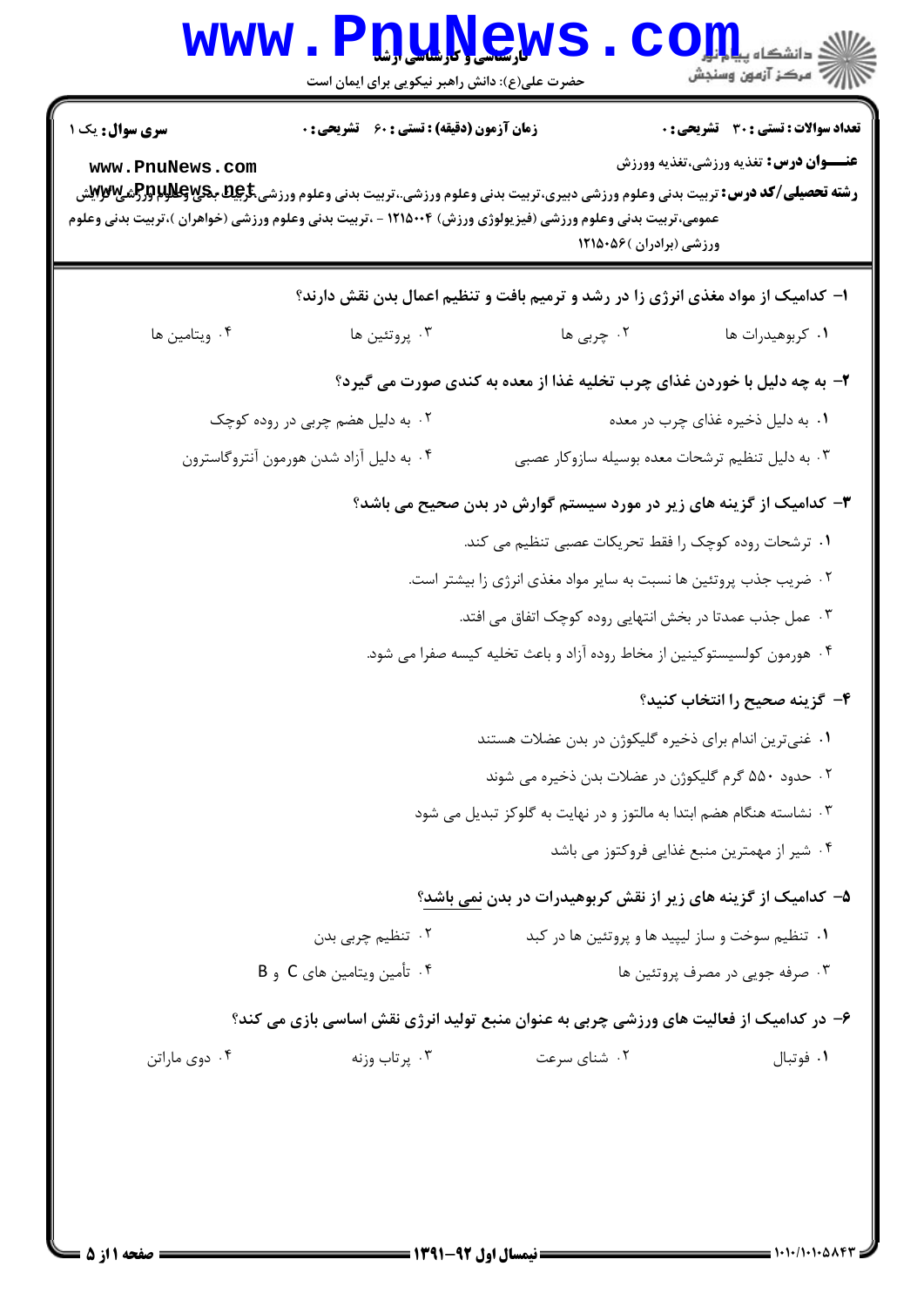| سری سوال: یک ۱<br>www.PnuNews.com                                        | <b>زمان آزمون (دقیقه) : تستی : 60 ٪ تشریحی : 0</b><br><b>رشته تحصیلی/کد درس:</b> تربیت بدنی وعلوم ورزشی دبیری،تربیت بدنی وعلوم ورزشی.،تربیت بدنی وعلوم ورزشی <del>،کرپایا</del> <b>بکرپایالولابرتر(تشی) تواب</b> ی<br>عمومی،تربیت بدنی وعلوم ورزشی (فیزیولوژی ورزش) ۱۲۱۵۰۰۴ - ،تربیت بدنی وعلوم ورزشی (خواهران )،تربیت بدنی وعلوم | ورزشی (برادران )۵۶۰۵۶ ۱۲۱۵۰                                                      | تعداد سوالات : تستي : 30 ٪ تشريحي : 0<br><b>عنـــوان درس:</b> تغذیه ورزشی،تغذیه وورزش |  |
|--------------------------------------------------------------------------|-----------------------------------------------------------------------------------------------------------------------------------------------------------------------------------------------------------------------------------------------------------------------------------------------------------------------------------|----------------------------------------------------------------------------------|---------------------------------------------------------------------------------------|--|
|                                                                          |                                                                                                                                                                                                                                                                                                                                   | ا– کدامیک از مواد مغذی انرژی زا در رشد و ترمیم بافت و تنظیم اعمال بدن نقش دارند؟ |                                                                                       |  |
| ۰۴ ويتامين ها                                                            | ۰۳ پروتئين ها                                                                                                                                                                                                                                                                                                                     | ۲. چربی ها                                                                       | ۰۱ کربوهیدرات ها                                                                      |  |
|                                                                          |                                                                                                                                                                                                                                                                                                                                   | ۲- به چه دلیل با خوردن غذای چرب تخلیه غذا از معده به کندی صورت می گیرد؟          |                                                                                       |  |
|                                                                          | ۰۲ به دلیل هضم چربی در روده کوچک                                                                                                                                                                                                                                                                                                  |                                                                                  | ۰۱ به دلیل ذخیره غذای چرب در معده                                                     |  |
|                                                                          | ۰۴ به دلیل آزاد شدن هورمون آنتروگاسترون                                                                                                                                                                                                                                                                                           | ۰۳ به دلیل تنظیم ترشحات معده بوسیله سازوکار عصبی                                 |                                                                                       |  |
| ۳- کدامیک از گزینه های زیر در مورد سیستم گوارش در بدن صحیح می باشد؟      |                                                                                                                                                                                                                                                                                                                                   |                                                                                  |                                                                                       |  |
|                                                                          |                                                                                                                                                                                                                                                                                                                                   | ۰۱ ترشحات روده کوچک را فقط تحریکات عصبی تنظیم می کند.                            |                                                                                       |  |
|                                                                          |                                                                                                                                                                                                                                                                                                                                   | ۰۲ ضریب جذب پروتئین ها نسبت به سایر مواد مغذی انرژی زا بیشتر است.                |                                                                                       |  |
| ۰۳ عمل جذب عمدتا در بخش انتهایی روده کوچک اتفاق می افتد.                 |                                                                                                                                                                                                                                                                                                                                   |                                                                                  |                                                                                       |  |
| ۰۴ هورمون کولسیستوکینین از مخاط روده آزاد و باعث تخلیه کیسه صفرا می شود. |                                                                                                                                                                                                                                                                                                                                   |                                                                                  |                                                                                       |  |
|                                                                          |                                                                                                                                                                                                                                                                                                                                   |                                                                                  | ۴– گزینه صحیح را انتخاب کنید؟                                                         |  |
|                                                                          |                                                                                                                                                                                                                                                                                                                                   | ۰۱ غنیترین اندام برای ذخیره گلیکوژن در بدن عضلات هستند                           |                                                                                       |  |
| ۰۲ حدود ۵۵۰ گرم گلیکوژن در عضلات بدن ذخیره می شوند                       |                                                                                                                                                                                                                                                                                                                                   |                                                                                  |                                                                                       |  |
| ۰۳ نشاسته هنگام هضم ابتدا به مالتوز و در نهایت به گلوکز تبدیل می شود     |                                                                                                                                                                                                                                                                                                                                   |                                                                                  |                                                                                       |  |
|                                                                          |                                                                                                                                                                                                                                                                                                                                   |                                                                                  | ۰۴ شیر از مهمترین منبع غذایی فروکتوز می باشد                                          |  |
|                                                                          |                                                                                                                                                                                                                                                                                                                                   | ۵– کدامیک از گزینه های زیر از نقش کربوهیدرات در بدن نمی باشد؟                    |                                                                                       |  |
|                                                                          | ۰۲ تنظیم چربی بدن                                                                                                                                                                                                                                                                                                                 |                                                                                  | ۰۱ تنظیم سوخت و ساز لیپید ها و پروتئین ها در کبد                                      |  |
|                                                                          | ۰۴ تأمین ویتامین های C و B                                                                                                                                                                                                                                                                                                        |                                                                                  | ۰۳ صرفه جويي در مصرف پروتئين ها                                                       |  |
|                                                                          | ۶– در کدامیک از فعالیت های ورزشی چربی به عنوان منبع تولید انرژی نقش اساسی بازی می کند؟                                                                                                                                                                                                                                            |                                                                                  |                                                                                       |  |
| ۰۴ دوی ماراتن                                                            | ۰۳ پرتاب وزنه                                                                                                                                                                                                                                                                                                                     | ۰۲ شنای سرعت                                                                     | ٠١ فوتبال                                                                             |  |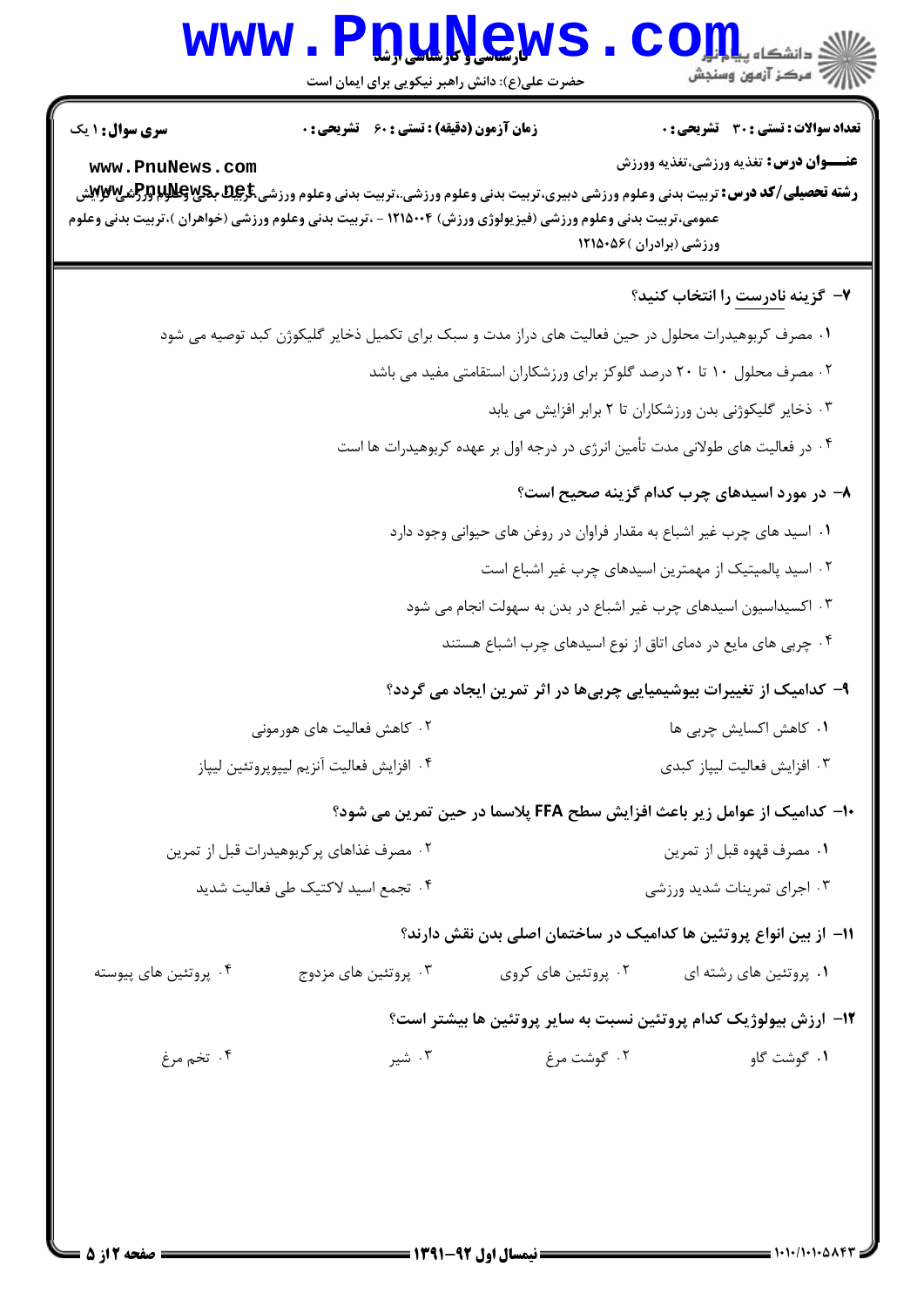## WWW.Pnu.News.com

**تعداد سوالات : تستی : 30 ٪ تشریحی : 0** 

**زمان آزمون (دقیقه) : تستی : 60 گشریحی : 0** 

**سری سوال : ۱ یک** 

**عنــوان درس:** تغذيه ورزشي،تغذيه وورزش

www.PnuNews.com **رشته تحصیلی/کد درس:** تربیت بدنی وعلوم ورزشی دبیری،تربیت بدنی وعلوم ورزشی.،تربیت بدنی وعلوم ورزشی<del>،گریD ب</del>هکلوللها<del>ر (برا</del>شگیلاللها عمومی،تربیت بدنی وعلوم ورزشی (فیزیولوژی ورزش) ۱۲۱۵۰۰۴ - ،تربیت بدنی وعلوم ورزشی (خواهران )،تربیت بدنی وعلوم

ورزشی (برادران )۵۶-۱۲۱۵

| ۷–  گزینه <u>نادرست</u> را انتخاب کنید؟                                                             |                                           |
|-----------------------------------------------------------------------------------------------------|-------------------------------------------|
| ۰۱ مصرف کربوهیدرات محلول در حین فعالیت های دراز مدت و سبک برای تکمیل ذخایر گلیکوژن کبد توصیه می شود |                                           |
| ۰۲ مصرف محلول ۱۰ تا ۲۰ درصد گلوکز برای ورزشکاران استقامتی مفید می باشد                              |                                           |
| ۰۳ ذخایر گلیکوژنی بدن ورزشکاران تا ۲ برابر افزایش می یابد                                           |                                           |
| ۰۴ در فعالیت های طولانی مدت تأمین انرژی در درجه اول بر عهده کربوهیدرات ها است                       |                                           |
| ۸– در مورد اسیدهای چرب کدام گزینه صحیح است؟                                                         |                                           |
| ۰۱ اسید های چرب غیر اشباع به مقدار فراوان در روغن های حیوانی وجود دارد                              |                                           |
| ۰۲ اسید پالمیتیک از مهمترین اسیدهای چرب غیر اشباع است                                               |                                           |
| ۰۳ اکسیداسیون اسیدهای چرب غیر اشباع در بدن به سهولت انجام می شود                                    |                                           |
| ۰۴ چربی های مایع در دمای اتاق از نوع اسیدهای چرب اشباع هستند                                        |                                           |
| ۹- کدامیک از تغییرات بیوشیمیایی چربیها در اثر تمرین ایجاد می گردد؟                                  |                                           |
| ۰۱ کاهش اکسایش چربی ها                                                                              | ۰۲ کاهش فعالیت های هورمونی                |
| ۰۳ افزايش فعاليت ليپاز كبدى                                                                         | ۰۴ افزايش فعاليت آنزيم ليپوپروتئين ليپاز  |
| ∙ا– کدامیک از عوامل زیر باعث افزایش سطح FFA پلاسما در حین تمرین می شود؟                             |                                           |
| ۰۱ مصرف قهوه قبل از تمرين                                                                           | ۰۲ مصرف غذاهای پر کربوهیدرات قبل از تمرین |
| ۰۳ اجرای تمرینات شدید ورزشی                                                                         | ۰۴ تجمع اسید لاکتیک طی فعالیت شدید        |
| اا– از بین انواع پروتئین ها کدامیک در ساختمان اصلی بدن نقش دارند؟                                   |                                           |

۰۱ پروتئین های رشته ای سمعه ۲۰۰ پروتئین های کروی سمعه ۲۰۰ پروتئین های مزدوج مسمعه ۲۰۰ پروتئین های پیوسته

## ۱۲– ارزش بیولوژیک کدام پروتئین نسبت به سایر پروتئین ها بیشتر است؟

۰۴ تخم مرغ ٠١ گوشت گاو مست سرخ در است است بر مسلم در این مسلم در این مسلم در این مسلم در این مسلم در این مسلم در این مسلم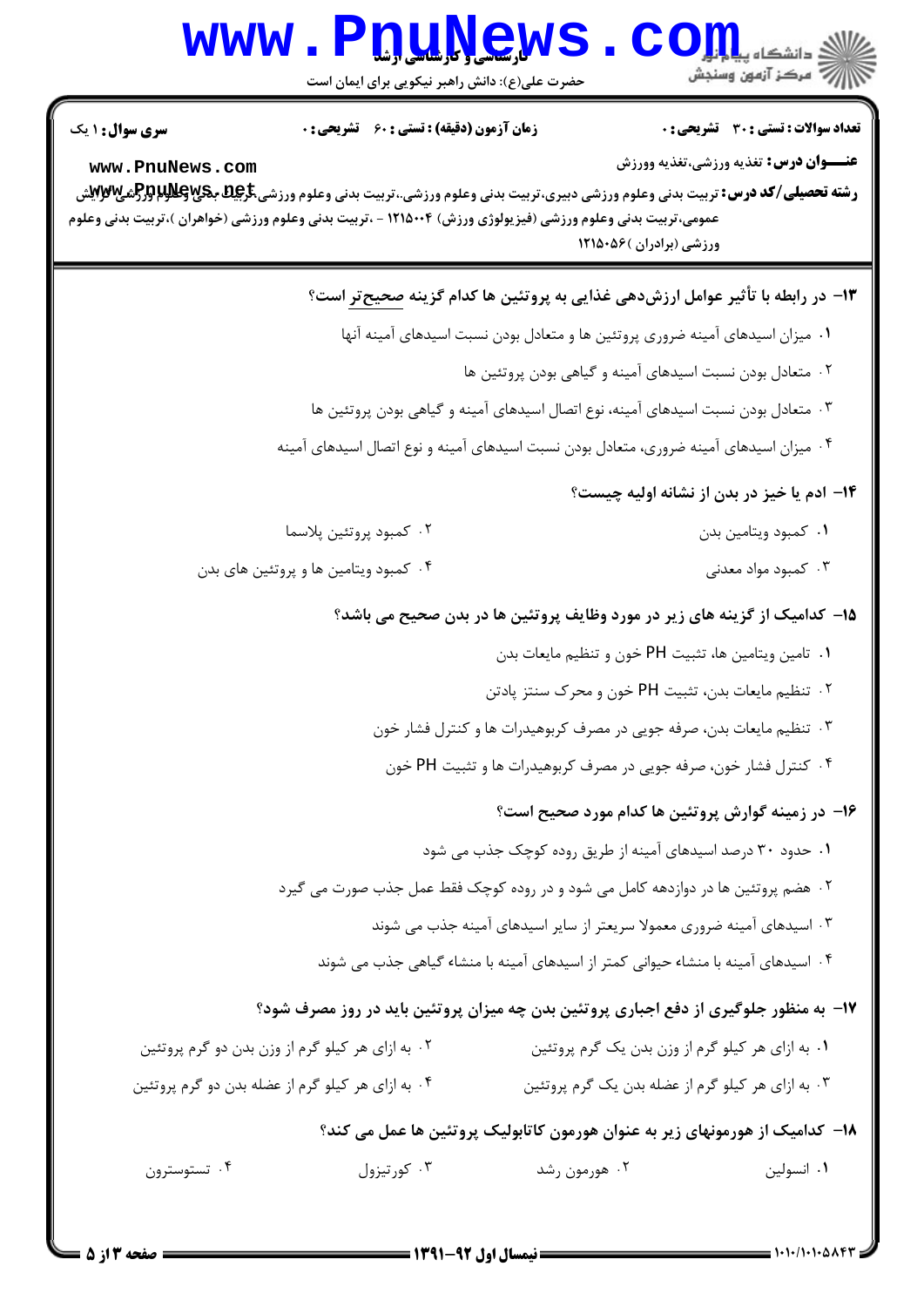## WWW.PnuNews.com .<br>|||/<sup>||ك</sup>سكز آزمون وسنجش

حضرت علی(ع): دانش راهبر نیکویی برای ایمان است

**تعداد سوالات : تستي : 30 - تشريحي : 0 سری سوال : ۱ یک زمان آزمون (دقیقه) : تستی : 60 تشریحی : 0 عنــوان درس:** تغذيه ورزشي،تغذيه وورزش www.PnuNews.com **رشته تحصیلی/کد درس:** تربیت بدنی وعلوم ورزشی دبیری،تربیت بدنی وعلوم ورزشی.،تربیت بدنی وعلوم ورزشی <del>گریمی پولا پراگرافیپ توب</del>یتی عمومی،تربیت بدنی وعلوم ورزشی (فیزیولوژی ورزش) ۱۲۱۵۰۰۴ - ،تربیت بدنی وعلوم ورزشی (خواهران )،تربیت بدنی وعلوم ورزشی (برادران )۵۶۰۵۶/ ۱۳- در رابطه با تأثیر عوامل ارزشدهی غذایی به پروتئین ها کدام گزینه <u>صحیح *ت*ر</u> است؟ ٠١ ميزان اسيدهاي آمينه ضروري پروتئين ها و متعادل بودن نسبت اسيدهاي آمينه آنها ۰۲ متعادل بودن نسبت اسیدهای آمینه و گیاهی بودن پروتئین ها ۰۳ متعادل بودن نسبت اسیدهای آمینه، نوع اتصال اسیدهای آمینه و گیاهی بودن پروتئین ها ۰۴ میزان اسیدهای آمینه ضروری، متعادل بودن نسبت اسیدهای آمینه و نوع اتصال اسیدهای آمینه ۱۴- ادم یا خیز در بدن از نشانه اولیه چیست؟ ۰۲ كمبود پروتئين پلاسما ۰۱ کمبود ویتامین بدن ۰۴ کمبود ویتامین ها و پروتئین های بدن ۰۳ کمبود مواد معدنی ۱۵– کدامیک از گزینه های زیر در مورد وظایف پروتئین ها در بدن صحیح می باشد؟ ۰۱ تامين ويتامين ها، تثبيت PH خون و تنظيم مايعات بدن ۰۲ تنظیم مایعات بدن، تثبیت PH خون و محرک سنتز یادتن ۰۳ تنظیم مایعات بدن، صرفه جویی در مصرف کربوهیدرات ها و کنترل فشار خون ۰۴ کنترل فشار خون، صرفه جویی در مصرف کربوهیدرات ها و تثبیت PH خون ۱۶- در زمینه گوارش پروتئین ها کدام مورد صحیح است؟ ۰۱ حدود ۳۰ درصد اسیدهای آمینه از طریق روده کوچک جذب می شود ۲۰ هضم پروتئین ها در دوازدهه کامل می شود و در روده کوچک فقط عمل جذب صورت می گیرد ۰۳ اسپدهای آمینه ضروری معمولا سریعتر از سایر اسپدهای آمینه جذب می شوند ۰۴ اسیدهای آمینه با منشاء حیوانی کمتر از اسیدهای آمینه با منشاء گیاهی جذب می شوند ۱۷- به منظور جلوگیری از دفع اجباری پروتئین بدن چه میزان پروتئین باید در روز مصرف شود؟ ۰۲ به ازای هر کیلو گرم از وزن بدن دو گرم پروتئین ۰۱ به ازای هر کیلو گرم از وزن بدن یک گرم پروتئین ۰۳ به ازای هر کیلو گرم از عضله بدن یک گرم پروتئین ۰۴ به ازای هر کیلو گرم از عضله بدن دو گرم پروتئین ۱۸– کدامیک از هورمونهای زیر به عنوان هورمون کاتابولیک پروتئین ها عمل می کند؟ ۰۴ تستوسترون  $\cdot$  کورتیزول  $\cdot$ ۰۲ هورمون رشد ٠١. انسولين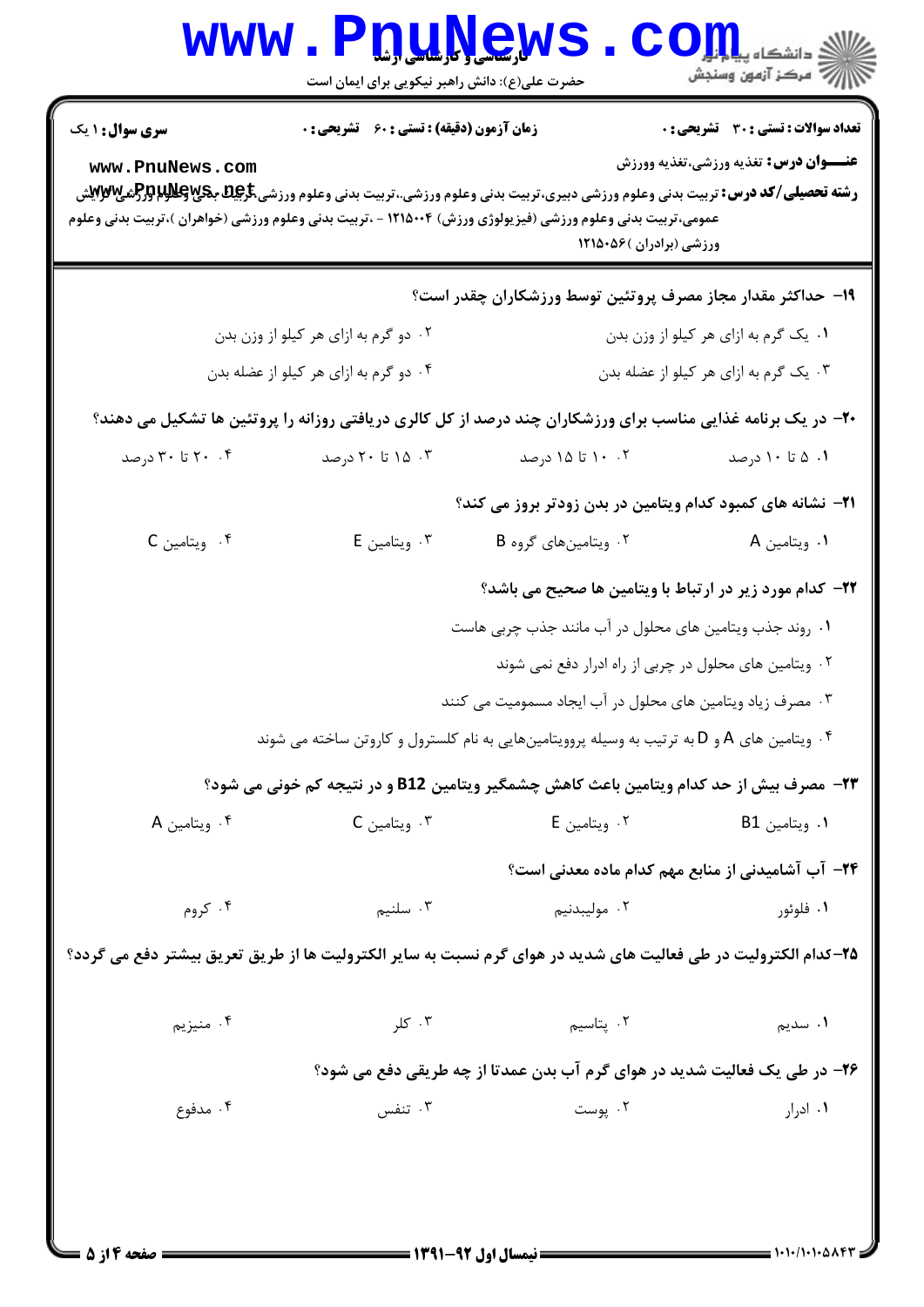| <b>سری سوال : ۱ یک</b>                                                                                                                                                                                                                                                                                                                                     | <b>زمان آزمون (دقیقه) : تستی : 60 ٪ تشریحی : 0</b>      |                                                                                                                     | <b>تعداد سوالات : تستی : 30 ٪ تشریحی : 0</b>      |  |  |
|------------------------------------------------------------------------------------------------------------------------------------------------------------------------------------------------------------------------------------------------------------------------------------------------------------------------------------------------------------|---------------------------------------------------------|---------------------------------------------------------------------------------------------------------------------|---------------------------------------------------|--|--|
| <b>عنـــوان درس:</b> تغذیه ورزشی،تغذیه وورزش<br>www.PnuNews.com<br><b>رشته تحصیلی/کد درس:</b> تربیت بدنی وعلوم ورزشی دبیری،تربیت بدنی وعلوم ورزشی.،تربیت بدنی وعلوم ورزشی <del>،کاچلد بکیPMپلاز Pرم</del> یی<br>عمومی،تربیت بدنی وعلوم ورزشی (فیزیولوژی ورزش) ۱۲۱۵۰۰۴ - ،تربیت بدنی وعلوم ورزشی (خواهران )،تربیت بدنی وعلوم<br>ورزشی (برادران )۵۶۰۵۶ ۱۲۱۵۰ |                                                         |                                                                                                                     |                                                   |  |  |
|                                                                                                                                                                                                                                                                                                                                                            |                                                         | ۱۹- حداکثر مقدار مجاز مصرف پروتئین توسط ورزشکاران چقدر است؟                                                         |                                                   |  |  |
|                                                                                                                                                                                                                                                                                                                                                            | ۰۲ دو گرم به ازای هر کیلو از وزن بدن                    |                                                                                                                     | ۰۱ یک گرم به ازای هر کیلو از وزن بدن              |  |  |
|                                                                                                                                                                                                                                                                                                                                                            | ۰۴ دو گرم به ازای هر کیلو از عضله بدن                   | ۰۳ یک گرم به ازای هر کیلو از عضله بدن                                                                               |                                                   |  |  |
|                                                                                                                                                                                                                                                                                                                                                            |                                                         | <b>+۲-</b> در یک برنامه غذایی مناسب برای ورزشکاران چند درصد از کل کالری دریافتی روزانه را پروتئین ها تشکیل می دهند؟ |                                                   |  |  |
| ۲۰ . ۲۰ تا ۳۰ درصد                                                                                                                                                                                                                                                                                                                                         | ۰۳ تا ۲۰ درصد                                           | ۰۲ ۱۰ تا ۱۵ درصد                                                                                                    | ۰۱ ۵ تا ۱۰ درصد                                   |  |  |
|                                                                                                                                                                                                                                                                                                                                                            |                                                         | ۲۱– نشانه های کمبود کدام ویتامین در بدن زودتر بروز می کند؟                                                          |                                                   |  |  |
| ۰۴ ویتامین C                                                                                                                                                                                                                                                                                                                                               | ۰۳ ویتامین E                                            | ۰۲ ویتامین های گروه B                                                                                               | ۰۱ ویتامین A                                      |  |  |
|                                                                                                                                                                                                                                                                                                                                                            |                                                         | ٢٢- كدام مورد زير در ارتباط با ويتامين ها صحيح مي باشد؟                                                             |                                                   |  |  |
|                                                                                                                                                                                                                                                                                                                                                            | ۰۱ روند جذب ویتامین های محلول در آب مانند جذب چربی هاست |                                                                                                                     |                                                   |  |  |
|                                                                                                                                                                                                                                                                                                                                                            | ۰۲ ویتامین های محلول در چربی از راه ادرار دفع نمی شوند  |                                                                                                                     |                                                   |  |  |
|                                                                                                                                                                                                                                                                                                                                                            |                                                         | ۰۳ مصرف زیاد ویتامین های محلول در آب ایجاد مسمومیت می کنند                                                          |                                                   |  |  |
|                                                                                                                                                                                                                                                                                                                                                            |                                                         | ۰۴ ویتامین های A و D به ترتیب به وسیله پروویتامینهایی به نام کلسترول و کاروتن ساخته می شوند                         |                                                   |  |  |
|                                                                                                                                                                                                                                                                                                                                                            |                                                         | <b>۲۳</b> - مصرف بیش از حد کدام ویتامین باعث کاهش چشمگیر ویتامین B12 و در نتیجه کم خونی می شود؟                     |                                                   |  |  |
| ۰۴ ویتامین A                                                                                                                                                                                                                                                                                                                                               | ۰۳ ویتامین C                                            | ۰۲ ویتامین E                                                                                                        | ۰۱ ویتامین B1                                     |  |  |
|                                                                                                                                                                                                                                                                                                                                                            |                                                         |                                                                                                                     | ۲۴– آب آشامیدنی از منابع مهم کدام ماده معدنی است؟ |  |  |
| ۰۴ کروم                                                                                                                                                                                                                                                                                                                                                    | ۰۳ سلنيم                                                | ۰۲ مولیبدنیم                                                                                                        | ۰۱ فلوئور                                         |  |  |
| ۲۵–کدام الکترولیت در طی فعالیت های شدید در هوای گرم نسبت به سایر الکترولیت ها از طریق تعریق بیشتر دفع می گردد؟                                                                                                                                                                                                                                             |                                                         |                                                                                                                     |                                                   |  |  |
| ۰۴ منيزيم                                                                                                                                                                                                                                                                                                                                                  | ۰۳ کلر                                                  | ۰۲ پتاسیم                                                                                                           | <b>۱</b> . سديم                                   |  |  |
|                                                                                                                                                                                                                                                                                                                                                            |                                                         | ۲۶- در طی یک فعالیت شدید در هوای گرم آب بدن عمدتا از چه طریقی دفع می شود؟                                           |                                                   |  |  |
| ۰۴ مدفوع                                                                                                                                                                                                                                                                                                                                                   | ۰۳ تنفس                                                 | ۰۲ پوست                                                                                                             | ۰۱. ادرار                                         |  |  |

 $= 1.1 - 11.1 - 0.197$